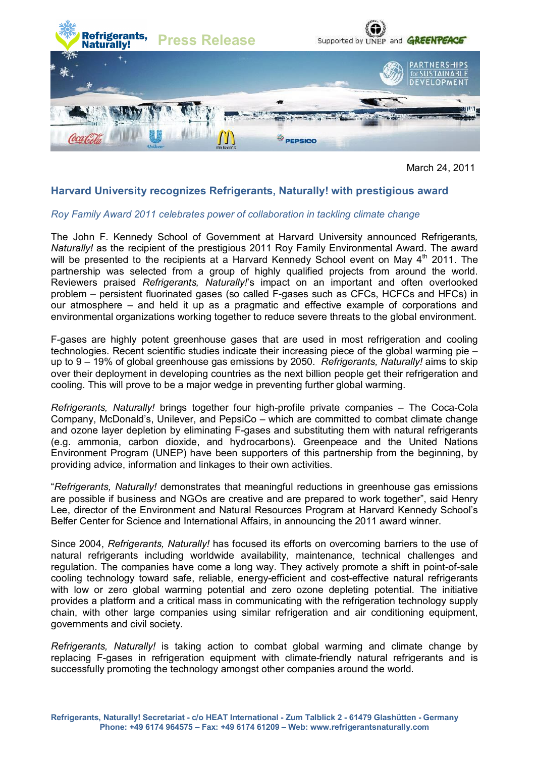

March 24, 2011

# **Harvard University recognizes Refrigerants, Naturally! with prestigious award**

## *Roy Family Award 2011 celebrates power of collaboration in tackling climate change*

The John F. Kennedy School of Government at Harvard University announced Refrigerants*, Naturally!* as the recipient of the prestigious 2011 Roy Family Environmental Award. The award will be presented to the recipients at a Harvard Kennedy School event on May 4<sup>th</sup> 2011. The partnership was selected from a group of highly qualified projects from around the world. Reviewers praised *Refrigerants, Naturally!*'s impact on an important and often overlooked problem – persistent fluorinated gases (so called F-gases such as CFCs, HCFCs and HFCs) in our atmosphere – and held it up as a pragmatic and effective example of corporations and environmental organizations working together to reduce severe threats to the global environment.

F-gases are highly potent greenhouse gases that are used in most refrigeration and cooling technologies. Recent scientific studies indicate their increasing piece of the global warming pie – up to 9 – 19% of global greenhouse gas emissions by 2050. *Refrigerants, Naturally!* aims to skip over their deployment in developing countries as the next billion people get their refrigeration and cooling. This will prove to be a major wedge in preventing further global warming.

*Refrigerants, Naturally!* brings together four high-profile private companies – The Coca-Cola Company, McDonald's, Unilever, and PepsiCo – which are committed to combat climate change and ozone layer depletion by eliminating F-gases and substituting them with natural refrigerants (e.g. ammonia, carbon dioxide, and hydrocarbons). Greenpeace and the United Nations Environment Program (UNEP) have been supporters of this partnership from the beginning, by providing advice, information and linkages to their own activities.

"*Refrigerants, Naturally!* demonstrates that meaningful reductions in greenhouse gas emissions are possible if business and NGOs are creative and are prepared to work together", said Henry Lee, director of the Environment and Natural Resources Program at Harvard Kennedy School's Belfer Center for Science and International Affairs, in announcing the 2011 award winner.

Since 2004, *Refrigerants, Naturally!* has focused its efforts on overcoming barriers to the use of natural refrigerants including worldwide availability, maintenance, technical challenges and regulation. The companies have come a long way. They actively promote a shift in point-of-sale cooling technology toward safe, reliable, energy-efficient and cost-effective natural refrigerants with low or zero global warming potential and zero ozone depleting potential. The initiative provides a platform and a critical mass in communicating with the refrigeration technology supply chain, with other large companies using similar refrigeration and air conditioning equipment, governments and civil society.

*Refrigerants, Naturally!* is taking action to combat global warming and climate change by replacing F-gases in refrigeration equipment with climate-friendly natural refrigerants and is successfully promoting the technology amongst other companies around the world.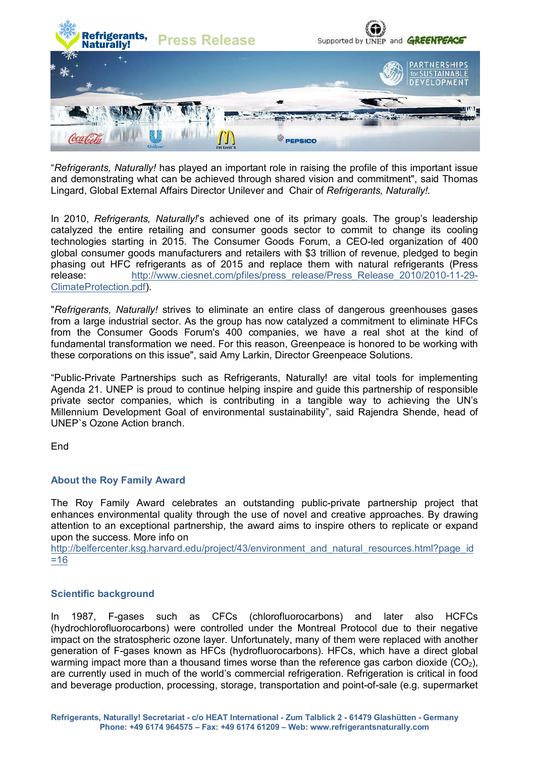

"*Refrigerants, Naturally!* has played an important role in raising the profile of this important issue and demonstrating what can be achieved through shared vision and commitment", said Thomas Lingard, Global External Affairs Director Unilever and Chair of *Refrigerants, Naturally!*.

In 2010, *Refrigerants, Naturally!*'s achieved one of its primary goals. The group's leadership catalyzed the entire retailing and consumer goods sector to commit to change its cooling technologies starting in 2015. The Consumer Goods Forum, a CEO-led organization of 400 global consumer goods manufacturers and retailers with \$3 trillion of revenue, pledged to begin phasing out HFC refrigerants as of 2015 and replace them with natural refrigerants (Press release: http://www.ciesnet.com/pfiles/press\_release/Press\_Release\_2010/2010-11-29- ClimateProtection.pdf).

"*Refrigerants, Naturally!* strives to eliminate an entire class of dangerous greenhouses gases from a large industrial sector. As the group has now catalyzed a commitment to eliminate HFCs from the Consumer Goods Forum's 400 companies, we have a real shot at the kind of fundamental transformation we need. For this reason, Greenpeace is honored to be working with these corporations on this issue", said Amy Larkin, Director Greenpeace Solutions.

"Public-Private Partnerships such as Refrigerants, Naturally! are vital tools for implementing Agenda 21. UNEP is proud to continue helping inspire and guide this partnership of responsible private sector companies, which is contributing in a tangible way to achieving the UN's Millennium Development Goal of environmental sustainability", said Rajendra Shende, head of UNEP`s Ozone Action branch.

**End** 

## **About the Roy Family Award**

The Roy Family Award celebrates an outstanding public-private partnership project that enhances environmental quality through the use of novel and creative approaches. By drawing attention to an exceptional partnership, the award aims to inspire others to replicate or expand upon the success. More info on

http://belfercenter.ksg.harvard.edu/project/43/environment\_and\_natural\_resources.html?page\_id =16

## **Scientific background**

In 1987, F-gases such as CFCs (chlorofluorocarbons) and later also HCFCs (hydrochlorofluorocarbons) were controlled under the Montreal Protocol due to their negative impact on the stratospheric ozone layer. Unfortunately, many of them were replaced with another generation of F-gases known as HFCs (hydrofluorocarbons). HFCs, which have a direct global warming impact more than a thousand times worse than the reference gas carbon dioxide  $(CO<sub>2</sub>)$ , are currently used in much of the world's commercial refrigeration. Refrigeration is critical in food and beverage production, processing, storage, transportation and point-of-sale (e.g. supermarket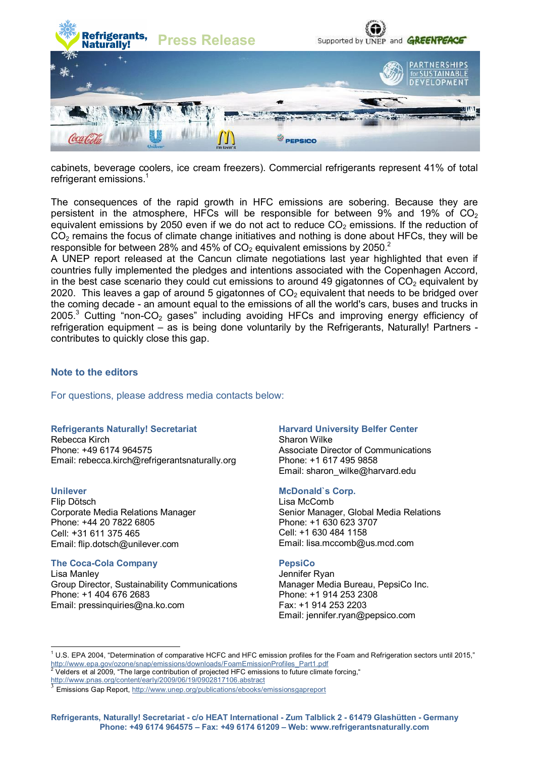

cabinets, beverage coolers, ice cream freezers). Commercial refrigerants represent 41% of total refrigerant emissions.<sup>1</sup>

The consequences of the rapid growth in HFC emissions are sobering. Because they are persistent in the atmosphere, HFCs will be responsible for between  $9\%$  and  $19\%$  of CO<sub>2</sub> equivalent emissions by 2050 even if we do not act to reduce  $CO<sub>2</sub>$  emissions. If the reduction of  $CO<sub>2</sub>$  remains the focus of climate change initiatives and nothing is done about HFCs, they will be responsible for between 28% and 45% of  $CO<sub>2</sub>$  equivalent emissions by 2050.<sup>2</sup>

A UNEP report released at the Cancun climate negotiations last year highlighted that even if countries fully implemented the pledges and intentions associated with the Copenhagen Accord, in the best case scenario they could cut emissions to around 49 gigatonnes of  $CO<sub>2</sub>$  equivalent by 2020. This leaves a gap of around 5 gigatonnes of  $CO<sub>2</sub>$  equivalent that needs to be bridged over the coming decade - an amount equal to the emissions of all the world's cars, buses and trucks in  $2005$ <sup>3</sup> Cutting "non-CO<sub>2</sub> gases" including avoiding HFCs and improving energy efficiency of refrigeration equipment – as is being done voluntarily by the Refrigerants, Naturally! Partners contributes to quickly close this gap.

#### **Note to the editors**

For questions, please address media contacts below:

#### **Refrigerants Naturally! Secretariat**

Rebecca Kirch Phone: +49 6174 964575 Email: rebecca.kirch@refrigerantsnaturally.org

## **Unilever**

 $\overline{a}$ 

Flip Dötsch Corporate Media Relations Manager Phone: +44 20 7822 6805 Cell: +31 611 375 465 Email: flip.dotsch@unilever.com

#### **The Coca-Cola Company**

Lisa Manley Group Director, Sustainability Communications Phone: +1 404 676 2683 Email: pressinquiries@na.ko.com

#### **Harvard University Belfer Center**

Sharon Wilke Associate Director of Communications Phone: +1 617 495 9858 Email: sharon\_wilke@harvard.edu

#### **McDonald`s Corp.**

Lisa McComb Senior Manager, Global Media Relations Phone: +1 630 623 3707 Cell: +1 630 484 1158 Email: lisa.mccomb@us.mcd.com

#### **PepsiCo**

Jennifer Ryan Manager Media Bureau, PepsiCo Inc. Phone: +1 914 253 2308 Fax: +1 914 253 2203 Email: jennifer.ryan@pepsico.com

 $1$  U.S. EPA 2004, "Determination of comparative HCFC and HFC emission profiles for the Foam and Refrigeration sectors until 2015," http://www.epa.gov/ozone/snap/emissions/downloads/FoamEmissionProfiles\_Part1.pdf 2

Velders et al 2009, "The large contribution of projected HFC emissions to future climate forcing,"

http://www.pnas.org/content/early/2009/06/19/0902817106.abstract<br>3 Emissions Can Beast, http://www.upen.ess/publications/sheaks/

Emissions Gap Report, http://www.unep.org/publications/ebooks/emissionsgapreport